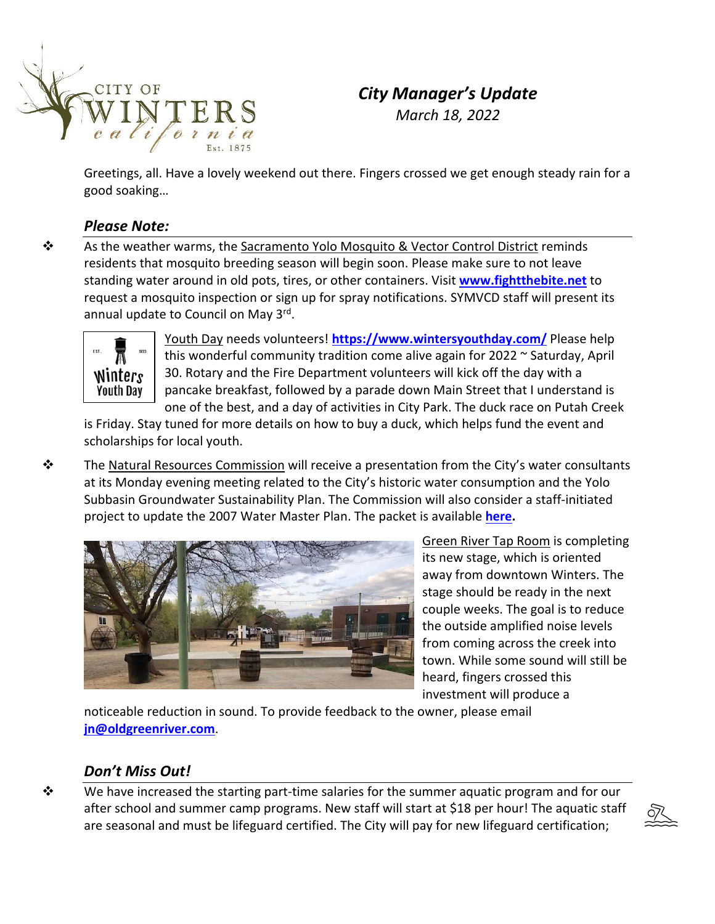

# *City Manager's Update March 18, 2022*

Greetings, all. Have a lovely weekend out there. Fingers crossed we get enough steady rain for a good soaking…

#### *Please Note:*

 $\clubsuit$  As the weather warms, the Sacramento Yolo Mosquito & Vector Control District reminds residents that mosquito breeding season will begin soon. Please make sure to not leave standing water around in old pots, tires, or other containers. Visit **[www.fightthebite.net](http://www.fightthebite.net/)** to request a mosquito inspection or sign up for spray notifications. SYMVCD staff will present its annual update to Council on May 3rd.



Youth Day needs volunteers! **<https://www.wintersyouthday.com/>** Please help this wonderful community tradition come alive again for 2022 ~ Saturday, April 30. Rotary and the Fire Department volunteers will kick off the day with a pancake breakfast, followed by a parade down Main Street that I understand is one of the best, and a day of activities in City Park. The duck race on Putah Creek

is Friday. Stay tuned for more details on how to buy a duck, which helps fund the event and scholarships for local youth.

 $\mathbf{\hat{P}}$  The Natural Resources Commission will receive a presentation from the City's water consultants at its Monday evening meeting related to the City's historic water consumption and the Yolo Subbasin Groundwater Sustainability Plan. The Commission will also consider a staff‐initiated project to update the 2007 Water Master Plan. The packet is available **[here.](http://www.cityofwinters.org/wp-content/uploads/2022/03/2022_0321-NRC-Mtg-Packet.pdf)**



Green River Tap Room is completing its new stage, which is oriented away from downtown Winters. The stage should be ready in the next couple weeks. The goal is to reduce the outside amplified noise levels from coming across the creek into town. While some sound will still be heard, fingers crossed this investment will produce a

noticeable reduction in sound. To provide feedback to the owner, please email **[jn@oldgreenriver.com](mailto:jn@oldgreenriver.com)**.

#### *Don't Miss Out!*

 $\dots$  We have increased the starting part-time salaries for the summer aquatic program and for our after school and summer camp programs. New staff will start at \$18 per hour! The aquatic staff are seasonal and must be lifeguard certified. The City will pay for new lifeguard certification;